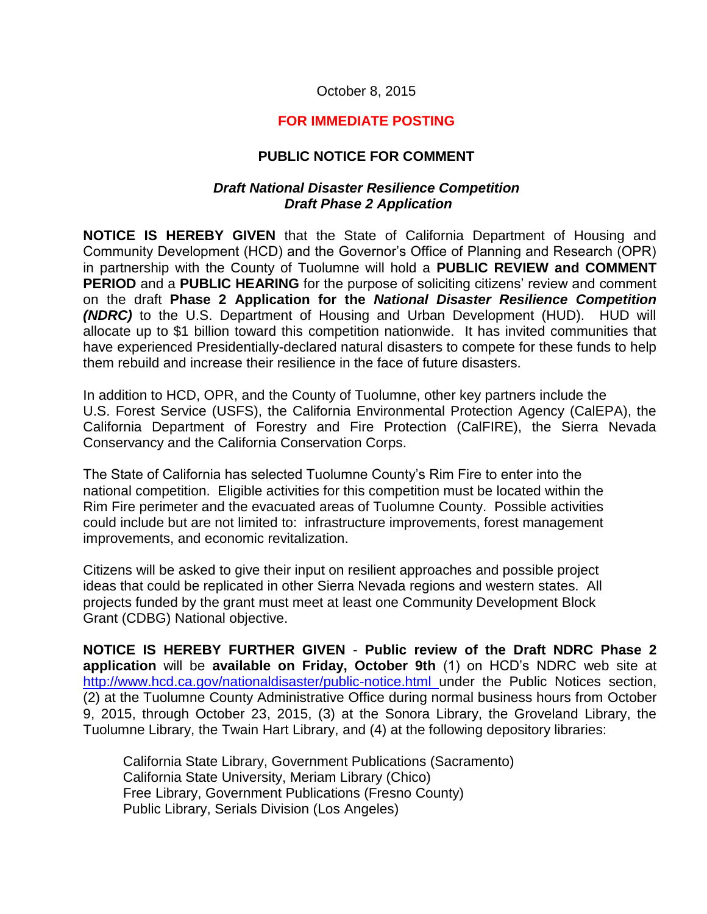## October 8, 2015

## **FOR IMMEDIATE POSTING**

## **PUBLIC NOTICE FOR COMMENT**

## *Draft National Disaster Resilience Competition Draft Phase 2 Application*

**NOTICE IS HEREBY GIVEN** that the State of California Department of Housing and Community Development (HCD) and the Governor's Office of Planning and Research (OPR) in partnership with the County of Tuolumne will hold a **PUBLIC REVIEW and COMMENT PERIOD** and a **PUBLIC HEARING** for the purpose of soliciting citizens' review and comment on the draft **Phase 2 Application for the** *National Disaster Resilience Competition (NDRC)* to the U.S. Department of Housing and Urban Development (HUD). HUD will allocate up to \$1 billion toward this competition nationwide. It has invited communities that have experienced Presidentially-declared natural disasters to compete for these funds to help them rebuild and increase their resilience in the face of future disasters.

In addition to HCD, OPR, and the County of Tuolumne, other key partners include the U.S. Forest Service (USFS), the California Environmental Protection Agency (CalEPA), the California Department of Forestry and Fire Protection (CalFIRE), the Sierra Nevada Conservancy and the California Conservation Corps.

The State of California has selected Tuolumne County's Rim Fire to enter into the national competition. Eligible activities for this competition must be located within the Rim Fire perimeter and the evacuated areas of Tuolumne County. Possible activities could include but are not limited to: infrastructure improvements, forest management improvements, and economic revitalization.

Citizens will be asked to give their input on resilient approaches and possible project ideas that could be replicated in other Sierra Nevada regions and western states. All projects funded by the grant must meet at least one Community Development Block Grant (CDBG) National objective.

**NOTICE IS HEREBY FURTHER GIVEN** - **Public review of the Draft NDRC Phase 2 application** will be **available on Friday, October 9th** (1) on HCD's NDRC web site at <http://www.hcd.ca.gov/nationaldisaster/public-notice.html> under the Public Notices section, (2) at the Tuolumne County Administrative Office during normal business hours from October 9, 2015, through October 23, 2015, (3) at the Sonora Library, the Groveland Library, the Tuolumne Library, the Twain Hart Library, and (4) at the following depository libraries:

California State Library, Government Publications (Sacramento) California State University, Meriam Library (Chico) Free Library, Government Publications (Fresno County) Public Library, Serials Division (Los Angeles)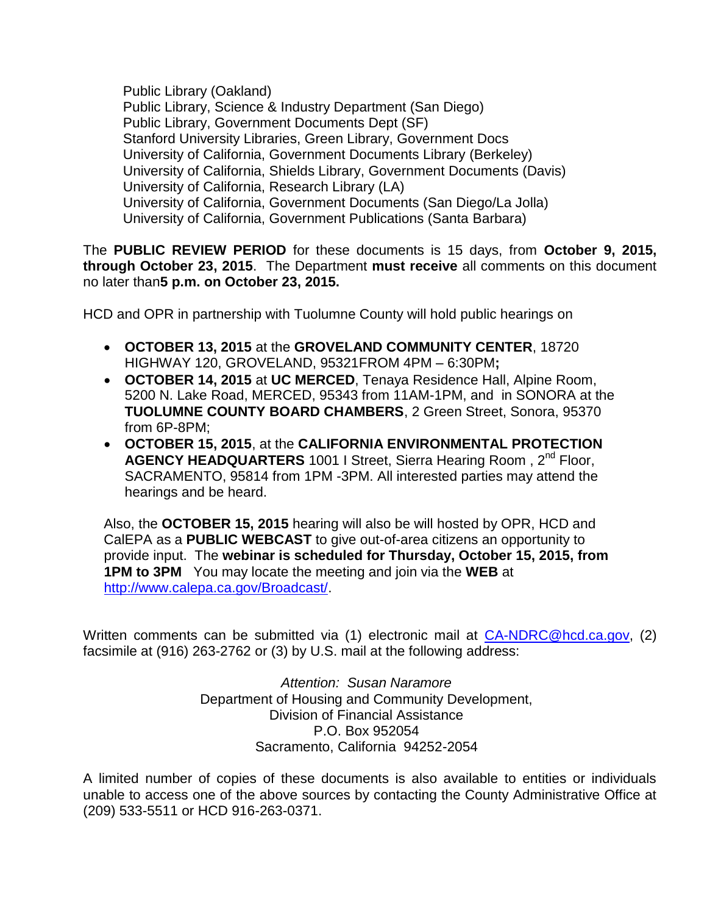Public Library (Oakland) Public Library, Science & Industry Department (San Diego) Public Library, Government Documents Dept (SF) Stanford University Libraries, Green Library, Government Docs University of California, Government Documents Library (Berkeley) University of California, Shields Library, Government Documents (Davis) University of California, Research Library (LA) University of California, Government Documents (San Diego/La Jolla) University of California, Government Publications (Santa Barbara)

The **PUBLIC REVIEW PERIOD** for these documents is 15 days, from **October 9, 2015, through October 23, 2015**. The Department **must receive** all comments on this document no later than**5 p.m. on October 23, 2015.** 

HCD and OPR in partnership with Tuolumne County will hold public hearings on

- HIGHWAY 120, GROVELAND, 95321FROM 4PM 6:30PM**; OCTOBER 13, 2015** at the **GROVELAND COMMUNITY CENTER**, 18720
- 5200 N. Lake Road, MERCED, 95343 from 11AM-1PM, and in SONORA at the from 6P-8PM; **OCTOBER 14, 2015** at **UC MERCED**, Tenaya Residence Hall, Alpine Room, **TUOLUMNE COUNTY BOARD CHAMBERS**, 2 Green Street, Sonora, 95370
- **OCTOBER 15, 2015**, at the **CALIFORNIA ENVIRONMENTAL PROTECTION AGENCY HEADQUARTERS** 1001 I Street, Sierra Hearing Room , 2nd Floor, SACRAMENTO, 95814 from 1PM -3PM. All interested parties may attend the hearings and be heard.

 provide input. The **webinar is scheduled for Thursday, October 15, 2015, from 1PM to 3PM** You may locate the meeting and join via the **WEB** at Also, the **OCTOBER 15, 2015** hearing will also be will hosted by OPR, HCD and CalEPA as a **PUBLIC WEBCAST** to give out-of-area citizens an opportunity to [http://www.calepa.ca.gov/Broadcast/.](http://www.calepa.ca.gov/Broadcast/)

Written comments can be submitted via (1) electronic mail at [CA-NDRC@hcd.ca.gov,](mailto:CA-NDRC@hcd.ca.gov) (2) facsimile at (916) 263-2762 or (3) by U.S. mail at the following address:

> *Attention: Susan Naramore*  Department of Housing and Community Development, Division of Financial Assistance P.O. Box 952054 Sacramento, California 94252-2054

A limited number of copies of these documents is also available to entities or individuals unable to access one of the above sources by contacting the County Administrative Office at (209) 533-5511 or HCD 916-263-0371.